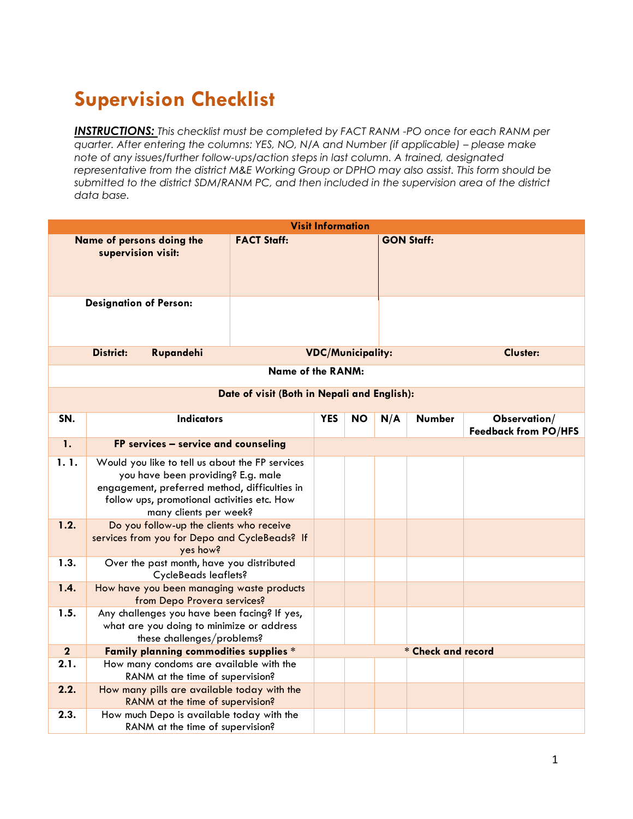## **Supervision Checklist**

*INSTRUCTIONS: This checklist must be completed by FACT RANM -PO once for each RANM per guarter. After entering the columns: YES, NO, N/A and Number (if applicable) – please make note of any issues/further follow-ups/action steps in last column. A trained, designated representative from the district M&E Working Group or DPHO may also assist. This form should be submitted to the district SDM/RANM PC, and then included in the supervision area of the district data base.*

| <b>Visit Information</b>                        |                                                                                                                                                                                                                 |                    |            |                          |                   |                 |                                             |
|-------------------------------------------------|-----------------------------------------------------------------------------------------------------------------------------------------------------------------------------------------------------------------|--------------------|------------|--------------------------|-------------------|-----------------|---------------------------------------------|
| Name of persons doing the<br>supervision visit: |                                                                                                                                                                                                                 | <b>FACT Staff:</b> |            |                          | <b>GON Staff:</b> |                 |                                             |
| <b>Designation of Person:</b>                   |                                                                                                                                                                                                                 |                    |            |                          |                   |                 |                                             |
|                                                 | <b>District:</b><br>Rupandehi                                                                                                                                                                                   |                    |            | <b>VDC/Municipality:</b> |                   | <b>Cluster:</b> |                                             |
| <b>Name of the RANM:</b>                        |                                                                                                                                                                                                                 |                    |            |                          |                   |                 |                                             |
| Date of visit (Both in Nepali and English):     |                                                                                                                                                                                                                 |                    |            |                          |                   |                 |                                             |
| SN.                                             | <b>Indicators</b>                                                                                                                                                                                               |                    | <b>YES</b> | <b>NO</b>                | N/A               | <b>Number</b>   | Observation/<br><b>Feedback from PO/HFS</b> |
| $\mathbf{1}$ .                                  | FP services - service and counseling                                                                                                                                                                            |                    |            |                          |                   |                 |                                             |
| 1.1.                                            | Would you like to tell us about the FP services<br>you have been providing? E.g. male<br>engagement, preferred method, difficulties in<br>follow ups, promotional activities etc. How<br>many clients per week? |                    |            |                          |                   |                 |                                             |
| 1.2.                                            | Do you follow-up the clients who receive<br>services from you for Depo and CycleBeads? If<br>yes how?                                                                                                           |                    |            |                          |                   |                 |                                             |
| 1.3.                                            | Over the past month, have you distributed<br><b>CycleBeads leaflets?</b>                                                                                                                                        |                    |            |                          |                   |                 |                                             |
| 1.4.                                            | How have you been managing waste products<br>from Depo Provera services?                                                                                                                                        |                    |            |                          |                   |                 |                                             |
| 1.5.                                            | Any challenges you have been facing? If yes,<br>what are you doing to minimize or address<br>these challenges/problems?                                                                                         |                    |            |                          |                   |                 |                                             |
| $\overline{2}$                                  | Family planning commodities supplies *                                                                                                                                                                          |                    |            | * Check and record       |                   |                 |                                             |
| 2.1.                                            | How many condoms are available with the<br>RANM at the time of supervision?                                                                                                                                     |                    |            |                          |                   |                 |                                             |
| 2.2.                                            | How many pills are available today with the<br>RANM at the time of supervision?                                                                                                                                 |                    |            |                          |                   |                 |                                             |
| 2.3.                                            | How much Depo is available today with the<br>RANM at the time of supervision?                                                                                                                                   |                    |            |                          |                   |                 |                                             |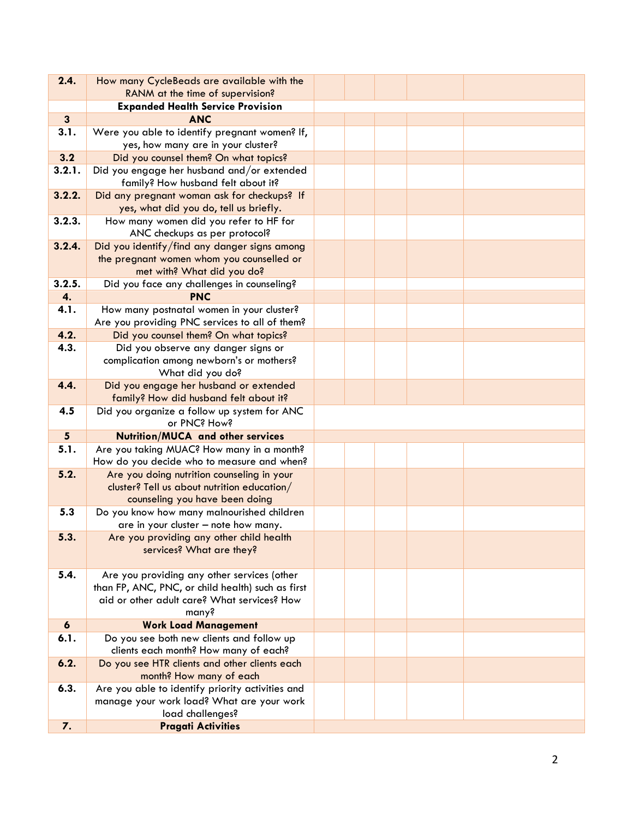| 2.4.             | How many CycleBeads are available with the                                                  |  |  |  |
|------------------|---------------------------------------------------------------------------------------------|--|--|--|
|                  | RANM at the time of supervision?                                                            |  |  |  |
|                  | <b>Expanded Health Service Provision</b>                                                    |  |  |  |
| $\mathbf{3}$     | <b>ANC</b>                                                                                  |  |  |  |
| 3.1.             | Were you able to identify pregnant women? If,<br>yes, how many are in your cluster?         |  |  |  |
| 3.2              | Did you counsel them? On what topics?                                                       |  |  |  |
| 3.2.1.           | Did you engage her husband and/or extended<br>family? How husband felt about it?            |  |  |  |
| 3.2.2.           | Did any pregnant woman ask for checkups? If<br>yes, what did you do, tell us briefly.       |  |  |  |
| 3.2.3.           | How many women did you refer to HF for<br>ANC checkups as per protocol?                     |  |  |  |
| 3.2.4.           | Did you identify/find any danger signs among                                                |  |  |  |
|                  | the pregnant women whom you counselled or                                                   |  |  |  |
|                  | met with? What did you do?                                                                  |  |  |  |
| 3.2.5.           | Did you face any challenges in counseling?                                                  |  |  |  |
| 4.               | <b>PNC</b>                                                                                  |  |  |  |
| 4.1.             | How many postnatal women in your cluster?<br>Are you providing PNC services to all of them? |  |  |  |
| 4.2.             | Did you counsel them? On what topics?                                                       |  |  |  |
| 4.3.             | Did you observe any danger signs or                                                         |  |  |  |
|                  | complication among newborn's or mothers?<br>What did you do?                                |  |  |  |
| 4.4.             | Did you engage her husband or extended                                                      |  |  |  |
|                  | family? How did husband felt about it?                                                      |  |  |  |
| 4.5              | Did you organize a follow up system for ANC<br>or PNC? How?                                 |  |  |  |
| $5\overline{)}$  | <b>Nutrition/MUCA and other services</b>                                                    |  |  |  |
| 5.1.             | Are you taking MUAC? How many in a month?<br>How do you decide who to measure and when?     |  |  |  |
| 5.2.             | Are you doing nutrition counseling in your<br>cluster? Tell us about nutrition education/   |  |  |  |
|                  | counseling you have been doing                                                              |  |  |  |
| 5.3              | Do you know how many malnourished children                                                  |  |  |  |
|                  | are in your cluster - note how many.                                                        |  |  |  |
| 5.3.             | Are you providing any other child health                                                    |  |  |  |
|                  | services? What are they?                                                                    |  |  |  |
|                  |                                                                                             |  |  |  |
| 5.4.             | Are you providing any other services (other                                                 |  |  |  |
|                  | than FP, ANC, PNC, or child health) such as first                                           |  |  |  |
|                  | aid or other adult care? What services? How                                                 |  |  |  |
|                  | many?                                                                                       |  |  |  |
| $\boldsymbol{6}$ | <b>Work Load Management</b>                                                                 |  |  |  |
| 6.1.             | Do you see both new clients and follow up<br>clients each month? How many of each?          |  |  |  |
| 6.2.             | Do you see HTR clients and other clients each                                               |  |  |  |
|                  | month? How many of each                                                                     |  |  |  |
| 6.3.             | Are you able to identify priority activities and                                            |  |  |  |
|                  | manage your work load? What are your work<br>load challenges?                               |  |  |  |
|                  | <b>Pragati Activities</b>                                                                   |  |  |  |
| 7.               |                                                                                             |  |  |  |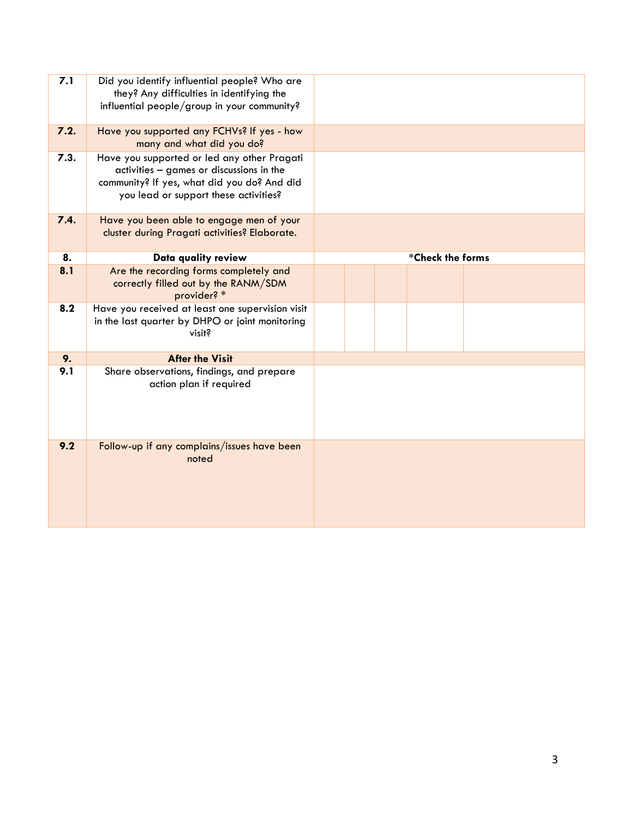| 7.1  | Did you identify influential people? Who are<br>they? Any difficulties in identifying the<br>influential people/group in your community?                                        |                  |
|------|---------------------------------------------------------------------------------------------------------------------------------------------------------------------------------|------------------|
| 7.2. | Have you supported any FCHVs? If yes - how<br>many and what did you do?                                                                                                         |                  |
| 7.3. | Have you supported or led any other Pragati<br>activities - games or discussions in the<br>community? If yes, what did you do? And did<br>you lead or support these activities? |                  |
| 7.4. | Have you been able to engage men of your<br>cluster during Pragati activities? Elaborate.                                                                                       |                  |
| 8.   | Data quality review                                                                                                                                                             | *Check the forms |
| 8.1  | Are the recording forms completely and<br>correctly filled out by the RANM/SDM<br>provider? *                                                                                   |                  |
| 8.2  | Have you received at least one supervision visit<br>in the last quarter by DHPO or joint monitoring<br>visit?                                                                   |                  |
| 9.   | <b>After the Visit</b>                                                                                                                                                          |                  |
| 9.1  | Share observations, findings, and prepare<br>action plan if required                                                                                                            |                  |
| 9.2  | Follow-up if any complains/issues have been<br>noted                                                                                                                            |                  |